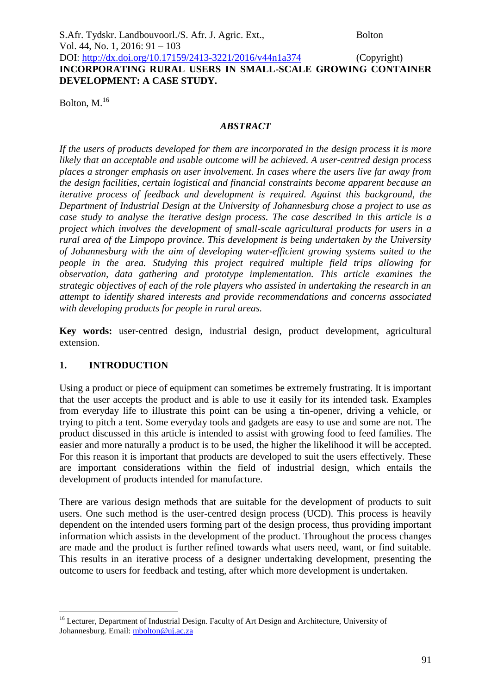| S.Afr. Tydskr. Landbouvoorl./S. Afr. J. Agric. Ext.,       | <b>Bolton</b> |
|------------------------------------------------------------|---------------|
| Vol. 44, No. 1, 2016: 91 – 103                             |               |
| DOI: http://dx.doi.org/10.17159/2413-3221/2016/v44n1a374   | (Copyright)   |
| INCORPORATING RURAL USERS IN SMALL-SCALE GROWING CONTAINER |               |
| DEVELOPMENT: A CASE STUDY.                                 |               |
|                                                            |               |

Bolton, M.<sup>16</sup>

#### *ABSTRACT*

*If the users of products developed for them are incorporated in the design process it is more likely that an acceptable and usable outcome will be achieved. A user-centred design process places a stronger emphasis on user involvement. In cases where the users live far away from the design facilities, certain logistical and financial constraints become apparent because an iterative process of feedback and development is required. Against this background, the Department of Industrial Design at the University of Johannesburg chose a project to use as case study to analyse the iterative design process. The case described in this article is a project which involves the development of small-scale agricultural products for users in a rural area of the Limpopo province. This development is being undertaken by the University of Johannesburg with the aim of developing water-efficient growing systems suited to the people in the area. Studying this project required multiple field trips allowing for observation, data gathering and prototype implementation. This article examines the strategic objectives of each of the role players who assisted in undertaking the research in an attempt to identify shared interests and provide recommendations and concerns associated with developing products for people in rural areas.* 

**Key words:** user-centred design, industrial design, product development, agricultural extension.

#### **1. INTRODUCTION**

1

Using a product or piece of equipment can sometimes be extremely frustrating. It is important that the user accepts the product and is able to use it easily for its intended task. Examples from everyday life to illustrate this point can be using a tin-opener, driving a vehicle, or trying to pitch a tent. Some everyday tools and gadgets are easy to use and some are not. The product discussed in this article is intended to assist with growing food to feed families. The easier and more naturally a product is to be used, the higher the likelihood it will be accepted. For this reason it is important that products are developed to suit the users effectively. These are important considerations within the field of industrial design, which entails the development of products intended for manufacture.

There are various design methods that are suitable for the development of products to suit users. One such method is the user-centred design process (UCD). This process is heavily dependent on the intended users forming part of the design process, thus providing important information which assists in the development of the product. Throughout the process changes are made and the product is further refined towards what users need, want, or find suitable. This results in an iterative process of a designer undertaking development, presenting the outcome to users for feedback and testing, after which more development is undertaken.

<sup>&</sup>lt;sup>16</sup> Lecturer, Department of Industrial Design. Faculty of Art Design and Architecture, University of Johannesburg. Email: [mbolton@uj.ac.za](mailto:mbolton@uj.ac.za)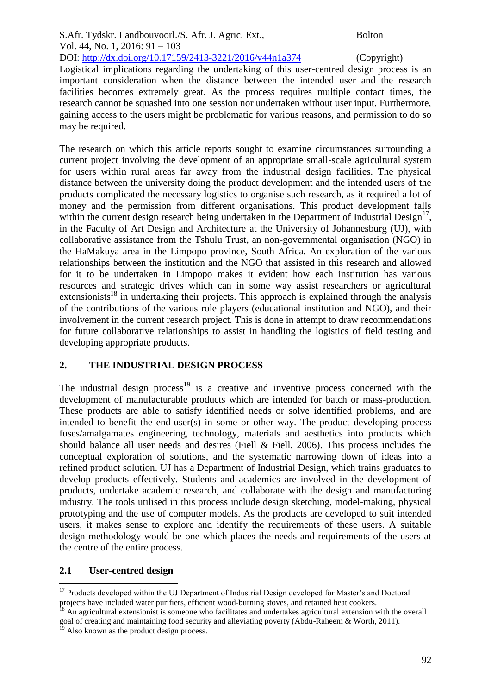S.Afr. Tydskr. Landbouvoorl./S. Afr. J. Agric. Ext., Bolton Vol. 44, No. 1, 2016: 91 – 103 DOI: http://dx.doi.org/10.17159/2413-3221/2016/v44n1a374 (Copyright)

Logistical implications regarding the undertaking of this user-centred design process is an important consideration when the distance between the intended user and the research facilities becomes extremely great. As the process requires multiple contact times, the research cannot be squashed into one session nor undertaken without user input. Furthermore, gaining access to the users might be problematic for various reasons, and permission to do so may be required.

The research on which this article reports sought to examine circumstances surrounding a current project involving the development of an appropriate small-scale agricultural system for users within rural areas far away from the industrial design facilities. The physical distance between the university doing the product development and the intended users of the products complicated the necessary logistics to organise such research, as it required a lot of money and the permission from different organisations. This product development falls within the current design research being undertaken in the Department of Industrial Design<sup>17</sup>, in the Faculty of Art Design and Architecture at the University of Johannesburg (UJ), with collaborative assistance from the Tshulu Trust, an non-governmental organisation (NGO) in the HaMakuya area in the Limpopo province, South Africa. An exploration of the various relationships between the institution and the NGO that assisted in this research and allowed for it to be undertaken in Limpopo makes it evident how each institution has various resources and strategic drives which can in some way assist researchers or agricultural extensionists<sup>18</sup> in undertaking their projects. This approach is explained through the analysis of the contributions of the various role players (educational institution and NGO), and their involvement in the current research project. This is done in attempt to draw recommendations for future collaborative relationships to assist in handling the logistics of field testing and developing appropriate products.

# **2. THE INDUSTRIAL DESIGN PROCESS**

The industrial design process<sup>19</sup> is a creative and inventive process concerned with the development of manufacturable products which are intended for batch or mass-production. These products are able to satisfy identified needs or solve identified problems, and are intended to benefit the end-user(s) in some or other way. The product developing process fuses/amalgamates engineering, technology, materials and aesthetics into products which should balance all user needs and desires (Fiell & Fiell, 2006). This process includes the conceptual exploration of solutions, and the systematic narrowing down of ideas into a refined product solution. UJ has a Department of Industrial Design, which trains graduates to develop products effectively. Students and academics are involved in the development of products, undertake academic research, and collaborate with the design and manufacturing industry. The tools utilised in this process include design sketching, model-making, physical prototyping and the use of computer models. As the products are developed to suit intended users, it makes sense to explore and identify the requirements of these users. A suitable design methodology would be one which places the needs and requirements of the users at the centre of the entire process.

# **2.1 User-centred design**

<sup>&</sup>lt;u>.</u> <sup>17</sup> Products developed within the UJ Department of Industrial Design developed for Master's and Doctoral projects have included water purifiers, efficient wood-burning stoves, and retained heat cookers.

<sup>18</sup> An agricultural extensionist is someone who facilitates and undertakes agricultural extension with the overall goal of creating and maintaining food security and alleviating poverty (Abdu-Raheem & Worth, 2011).

<sup>&</sup>lt;sup>19</sup> Also known as the product design process.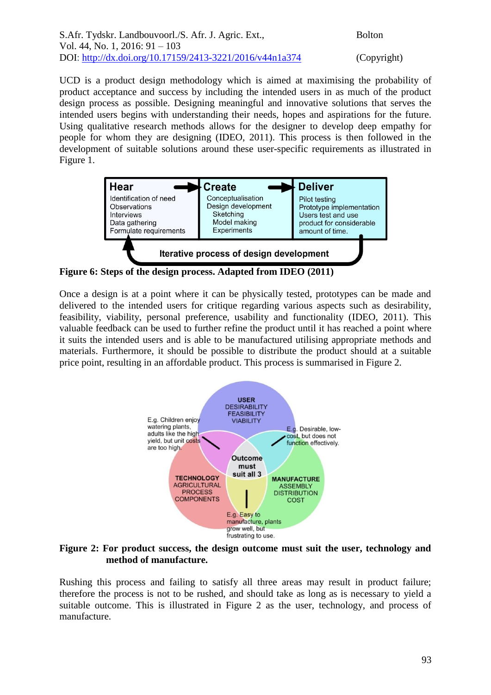| S.Afr. Tydskr. Landbouvoorl./S. Afr. J. Agric. Ext.,     | <b>Bolton</b> |
|----------------------------------------------------------|---------------|
| Vol. 44, No. 1, 2016: $91 - 103$                         |               |
| DOI: http://dx.doi.org/10.17159/2413-3221/2016/v44n1a374 | (Copy1        |

(Copyright)

UCD is a product design methodology which is aimed at maximising the probability of product acceptance and success by including the intended users in as much of the product design process as possible. Designing meaningful and innovative solutions that serves the intended users begins with understanding their needs, hopes and aspirations for the future. Using qualitative research methods allows for the designer to develop deep empathy for people for whom they are designing (IDEO, 2011). This process is then followed in the development of suitable solutions around these user-specific requirements as illustrated in Figure 1.



**Figure 6: Steps of the design process. Adapted from IDEO (2011)**

Once a design is at a point where it can be physically tested, prototypes can be made and delivered to the intended users for critique regarding various aspects such as desirability, feasibility, viability, personal preference, usability and functionality (IDEO, 2011). This valuable feedback can be used to further refine the product until it has reached a point where it suits the intended users and is able to be manufactured utilising appropriate methods and materials. Furthermore, it should be possible to distribute the product should at a suitable price point, resulting in an affordable product. This process is summarised in Figure 2.



**Figure 2: For product success, the design outcome must suit the user, technology and method of manufacture.**

Rushing this process and failing to satisfy all three areas may result in product failure; therefore the process is not to be rushed, and should take as long as is necessary to yield a suitable outcome. This is illustrated in Figure 2 as the user, technology, and process of manufacture.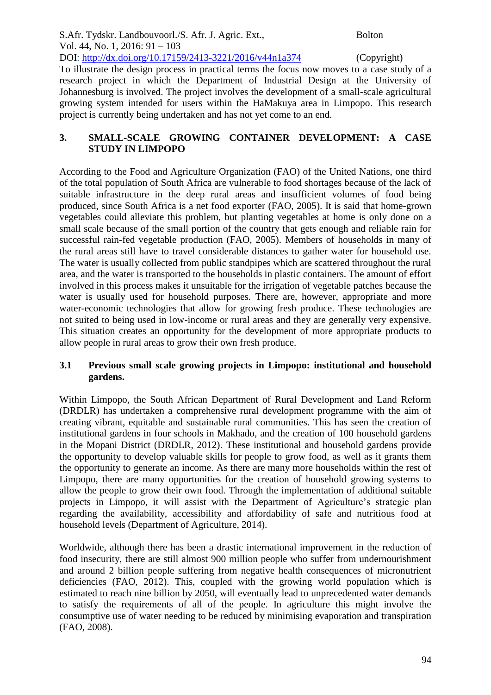S.Afr. Tydskr. Landbouvoorl./S. Afr. J. Agric. Ext., Bolton Vol. 44, No. 1, 2016: 91 – 103 DOI: http://dx.doi.org/10.17159/2413-3221/2016/v44n1a374 (Copyright)

To illustrate the design process in practical terms the focus now moves to a case study of a research project in which the Department of Industrial Design at the University of Johannesburg is involved. The project involves the development of a small-scale agricultural growing system intended for users within the HaMakuya area in Limpopo. This research project is currently being undertaken and has not yet come to an end.

# **3. SMALL-SCALE GROWING CONTAINER DEVELOPMENT: A CASE STUDY IN LIMPOPO**

According to the Food and Agriculture Organization (FAO) of the United Nations, one third of the total population of South Africa are vulnerable to food shortages because of the lack of suitable infrastructure in the deep rural areas and insufficient volumes of food being produced, since South Africa is a net food exporter (FAO, 2005). It is said that home-grown vegetables could alleviate this problem, but planting vegetables at home is only done on a small scale because of the small portion of the country that gets enough and reliable rain for successful rain-fed vegetable production (FAO, 2005). Members of households in many of the rural areas still have to travel considerable distances to gather water for household use. The water is usually collected from public standpipes which are scattered throughout the rural area, and the water is transported to the households in plastic containers. The amount of effort involved in this process makes it unsuitable for the irrigation of vegetable patches because the water is usually used for household purposes. There are, however, appropriate and more water-economic technologies that allow for growing fresh produce. These technologies are not suited to being used in low-income or rural areas and they are generally very expensive. This situation creates an opportunity for the development of more appropriate products to allow people in rural areas to grow their own fresh produce.

# **3.1 Previous small scale growing projects in Limpopo: institutional and household gardens.**

Within Limpopo, the South African Department of Rural Development and Land Reform (DRDLR) has undertaken a comprehensive rural development programme with the aim of creating vibrant, equitable and sustainable rural communities. This has seen the creation of institutional gardens in four schools in Makhado, and the creation of 100 household gardens in the Mopani District (DRDLR, 2012). These institutional and household gardens provide the opportunity to develop valuable skills for people to grow food, as well as it grants them the opportunity to generate an income. As there are many more households within the rest of Limpopo, there are many opportunities for the creation of household growing systems to allow the people to grow their own food. Through the implementation of additional suitable projects in Limpopo, it will assist with the Department of Agriculture's strategic plan regarding the availability, accessibility and affordability of safe and nutritious food at household levels (Department of Agriculture, 2014).

Worldwide, although there has been a drastic international improvement in the reduction of food insecurity, there are still almost 900 million people who suffer from undernourishment and around 2 billion people suffering from negative health consequences of micronutrient deficiencies (FAO, 2012). This, coupled with the growing world population which is estimated to reach nine billion by 2050, will eventually lead to unprecedented water demands to satisfy the requirements of all of the people. In agriculture this might involve the consumptive use of water needing to be reduced by minimising evaporation and transpiration (FAO, 2008).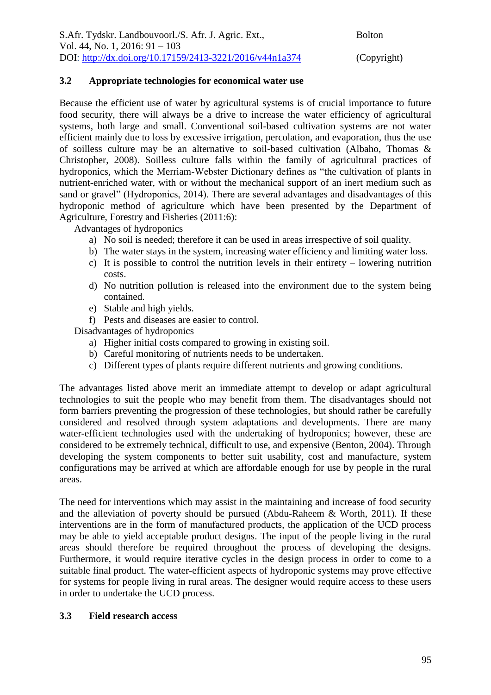### **3.2 Appropriate technologies for economical water use**

Because the efficient use of water by agricultural systems is of crucial importance to future food security, there will always be a drive to increase the water efficiency of agricultural systems, both large and small. Conventional soil-based cultivation systems are not water efficient mainly due to loss by excessive irrigation, percolation, and evaporation, thus the use of soilless culture may be an alternative to soil-based cultivation (Albaho, Thomas & Christopher, 2008). Soilless culture falls within the family of agricultural practices of hydroponics, which the Merriam-Webster Dictionary defines as "the cultivation of plants in nutrient-enriched water, with or without the mechanical support of an inert medium such as sand or gravel" (Hydroponics, 2014). There are several advantages and disadvantages of this hydroponic method of agriculture which have been presented by the Department of Agriculture, Forestry and Fisheries (2011:6):

Advantages of hydroponics

- a) No soil is needed; therefore it can be used in areas irrespective of soil quality.
- b) The water stays in the system, increasing water efficiency and limiting water loss.
- c) It is possible to control the nutrition levels in their entirety lowering nutrition costs.
- d) No nutrition pollution is released into the environment due to the system being contained.
- e) Stable and high yields.

f) Pests and diseases are easier to control.

Disadvantages of hydroponics

- a) Higher initial costs compared to growing in existing soil.
- b) Careful monitoring of nutrients needs to be undertaken.
- c) Different types of plants require different nutrients and growing conditions.

The advantages listed above merit an immediate attempt to develop or adapt agricultural technologies to suit the people who may benefit from them. The disadvantages should not form barriers preventing the progression of these technologies, but should rather be carefully considered and resolved through system adaptations and developments. There are many water-efficient technologies used with the undertaking of hydroponics; however, these are considered to be extremely technical, difficult to use, and expensive (Benton, 2004). Through developing the system components to better suit usability, cost and manufacture, system configurations may be arrived at which are affordable enough for use by people in the rural areas.

The need for interventions which may assist in the maintaining and increase of food security and the alleviation of poverty should be pursued (Abdu-Raheem & Worth, 2011). If these interventions are in the form of manufactured products, the application of the UCD process may be able to yield acceptable product designs. The input of the people living in the rural areas should therefore be required throughout the process of developing the designs. Furthermore, it would require iterative cycles in the design process in order to come to a suitable final product. The water-efficient aspects of hydroponic systems may prove effective for systems for people living in rural areas. The designer would require access to these users in order to undertake the UCD process.

#### **3.3 Field research access**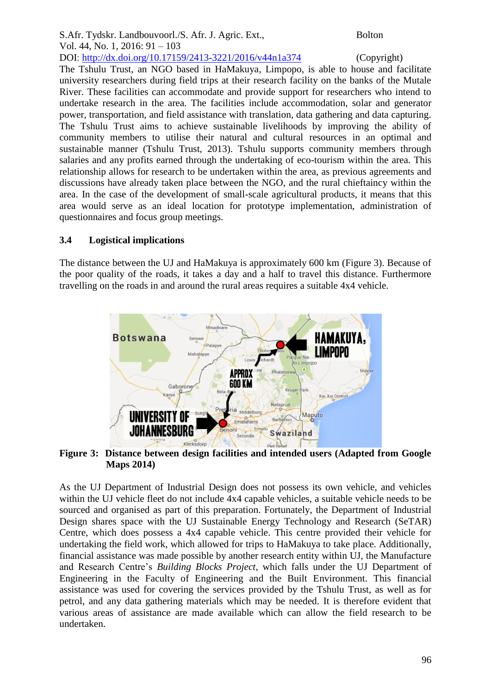The Tshulu Trust, an NGO based in HaMakuya, Limpopo, is able to house and facilitate university researchers during field trips at their research facility on the banks of the Mutale River. These facilities can accommodate and provide support for researchers who intend to undertake research in the area. The facilities include accommodation, solar and generator power, transportation, and field assistance with translation, data gathering and data capturing. The Tshulu Trust aims to achieve sustainable livelihoods by improving the ability of community members to utilise their natural and cultural resources in an optimal and sustainable manner (Tshulu Trust, 2013). Tshulu supports community members through salaries and any profits earned through the undertaking of eco-tourism within the area. This relationship allows for research to be undertaken within the area, as previous agreements and discussions have already taken place between the NGO, and the rural chieftaincy within the area. In the case of the development of small-scale agricultural products, it means that this area would serve as an ideal location for prototype implementation, administration of questionnaires and focus group meetings.

# **3.4 Logistical implications**

The distance between the UJ and HaMakuya is approximately 600 km (Figure 3). Because of the poor quality of the roads, it takes a day and a half to travel this distance. Furthermore travelling on the roads in and around the rural areas requires a suitable 4x4 vehicle.



**Figure 3: Distance between design facilities and intended users (Adapted from Google Maps 2014)**

As the UJ Department of Industrial Design does not possess its own vehicle, and vehicles within the UJ vehicle fleet do not include 4x4 capable vehicles, a suitable vehicle needs to be sourced and organised as part of this preparation. Fortunately, the Department of Industrial Design shares space with the UJ Sustainable Energy Technology and Research (SeTAR) Centre, which does possess a 4x4 capable vehicle. This centre provided their vehicle for undertaking the field work, which allowed for trips to HaMakuya to take place. Additionally, financial assistance was made possible by another research entity within UJ, the Manufacture and Research Centre's *Building Blocks Project*, which falls under the UJ Department of Engineering in the Faculty of Engineering and the Built Environment. This financial assistance was used for covering the services provided by the Tshulu Trust, as well as for petrol, and any data gathering materials which may be needed. It is therefore evident that various areas of assistance are made available which can allow the field research to be undertaken.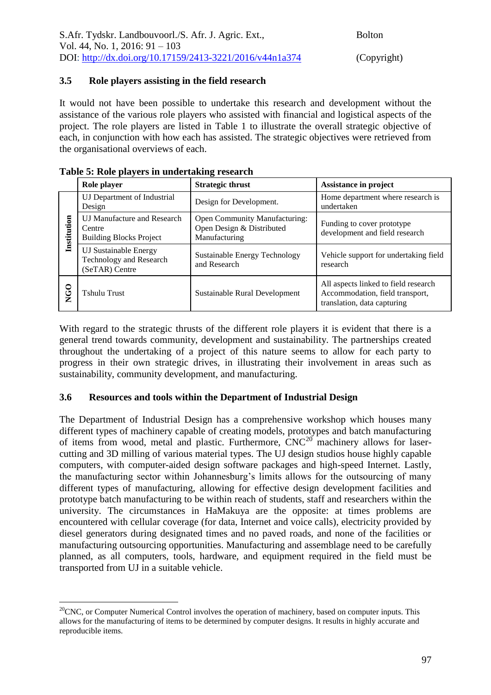#### **3.5 Role players assisting in the field research**

It would not have been possible to undertake this research and development without the assistance of the various role players who assisted with financial and logistical aspects of the project. The role players are listed in Table 1 to illustrate the overall strategic objective of each, in conjunction with how each has assisted. The strategic objectives were retrieved from the organisational overviews of each.

|             | Role player                                                                    | <b>Strategic thrust</b>                                                            | Assistance in project                                                                                  |
|-------------|--------------------------------------------------------------------------------|------------------------------------------------------------------------------------|--------------------------------------------------------------------------------------------------------|
|             | UJ Department of Industrial<br>Design                                          | Design for Development.                                                            | Home department where research is<br>undertaken                                                        |
| Institution | <b>UJ Manufacture and Research</b><br>Centre<br><b>Building Blocks Project</b> | <b>Open Community Manufacturing:</b><br>Open Design & Distributed<br>Manufacturing | Funding to cover prototype<br>development and field research                                           |
|             | <b>UJ Sustainable Energy</b><br>Technology and Research<br>(SeTAR) Centre      | Sustainable Energy Technology<br>and Research                                      | Vehicle support for undertaking field<br>research                                                      |
| NGO         | <b>Tshulu Trust</b>                                                            | Sustainable Rural Development                                                      | All aspects linked to field research<br>Accommodation, field transport,<br>translation, data capturing |

<u>.</u>

With regard to the strategic thrusts of the different role players it is evident that there is a general trend towards community, development and sustainability. The partnerships created throughout the undertaking of a project of this nature seems to allow for each party to progress in their own strategic drives, in illustrating their involvement in areas such as sustainability, community development, and manufacturing.

#### **3.6 Resources and tools within the Department of Industrial Design**

The Department of Industrial Design has a comprehensive workshop which houses many different types of machinery capable of creating models, prototypes and batch manufacturing of items from wood, metal and plastic. Furthermore,  $CNC^{20}$  machinery allows for lasercutting and 3D milling of various material types. The UJ design studios house highly capable computers, with computer-aided design software packages and high-speed Internet. Lastly, the manufacturing sector within Johannesburg's limits allows for the outsourcing of many different types of manufacturing, allowing for effective design development facilities and prototype batch manufacturing to be within reach of students, staff and researchers within the university. The circumstances in HaMakuya are the opposite: at times problems are encountered with cellular coverage (for data, Internet and voice calls), electricity provided by diesel generators during designated times and no paved roads, and none of the facilities or manufacturing outsourcing opportunities. Manufacturing and assemblage need to be carefully planned, as all computers, tools, hardware, and equipment required in the field must be transported from UJ in a suitable vehicle.

 $20$ CNC, or Computer Numerical Control involves the operation of machinery, based on computer inputs. This allows for the manufacturing of items to be determined by computer designs. It results in highly accurate and reproducible items.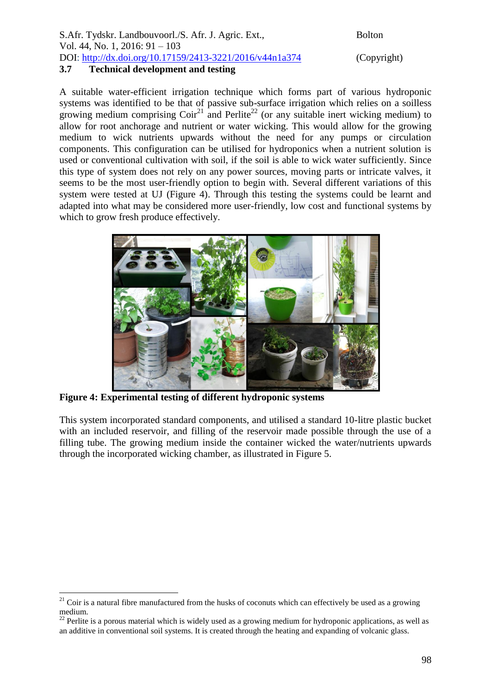| S.Afr. Tydskr. Landbouvoorl./S. Afr. J. Agric. Ext.,     | <b>Bolton</b> |
|----------------------------------------------------------|---------------|
| Vol. 44, No. 1, 2016: $91 - 103$                         |               |
| DOI: http://dx.doi.org/10.17159/2413-3221/2016/v44n1a374 | (Copy1        |
| 37<br>Technical development and testing                  |               |

(Copyright)

#### **3.7 Technical development and testing**

A suitable water-efficient irrigation technique which forms part of various hydroponic systems was identified to be that of passive sub-surface irrigation which relies on a soilless growing medium comprising  $Coir^{21}$  and Perlite<sup>22</sup> (or any suitable inert wicking medium) to allow for root anchorage and nutrient or water wicking. This would allow for the growing medium to wick nutrients upwards without the need for any pumps or circulation components. This configuration can be utilised for hydroponics when a nutrient solution is used or conventional cultivation with soil, if the soil is able to wick water sufficiently. Since this type of system does not rely on any power sources, moving parts or intricate valves, it seems to be the most user-friendly option to begin with. Several different variations of this system were tested at UJ (Figure 4). Through this testing the systems could be learnt and adapted into what may be considered more user-friendly, low cost and functional systems by which to grow fresh produce effectively.



**Figure 4: Experimental testing of different hydroponic systems**

1

This system incorporated standard components, and utilised a standard 10-litre plastic bucket with an included reservoir, and filling of the reservoir made possible through the use of a filling tube. The growing medium inside the container wicked the water/nutrients upwards through the incorporated wicking chamber, as illustrated in Figure 5.

 $21$  Coir is a natural fibre manufactured from the husks of coconuts which can effectively be used as a growing medium.

<sup>&</sup>lt;sup>22</sup> Perlite is a porous material which is widely used as a growing medium for hydroponic applications, as well as an additive in conventional soil systems. It is created through the heating and expanding of volcanic glass.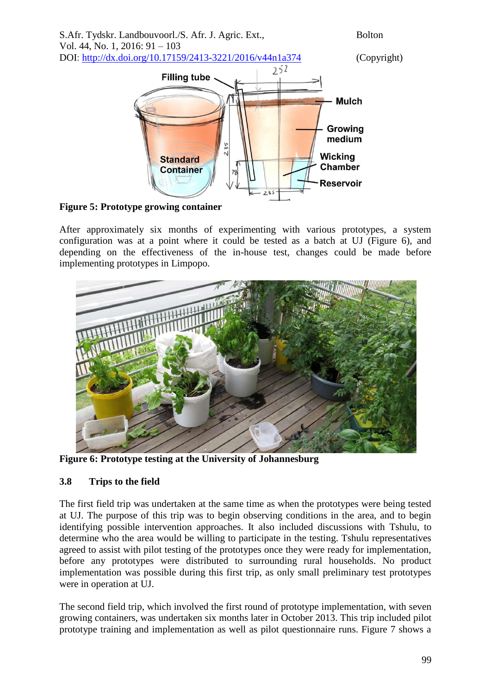

**Figure 5: Prototype growing container**

After approximately six months of experimenting with various prototypes, a system configuration was at a point where it could be tested as a batch at UJ (Figure 6), and depending on the effectiveness of the in-house test, changes could be made before implementing prototypes in Limpopo.



**Figure 6: Prototype testing at the University of Johannesburg**

# **3.8 Trips to the field**

The first field trip was undertaken at the same time as when the prototypes were being tested at UJ. The purpose of this trip was to begin observing conditions in the area, and to begin identifying possible intervention approaches. It also included discussions with Tshulu, to determine who the area would be willing to participate in the testing. Tshulu representatives agreed to assist with pilot testing of the prototypes once they were ready for implementation, before any prototypes were distributed to surrounding rural households. No product implementation was possible during this first trip, as only small preliminary test prototypes were in operation at UJ.

The second field trip, which involved the first round of prototype implementation, with seven growing containers, was undertaken six months later in October 2013. This trip included pilot prototype training and implementation as well as pilot questionnaire runs. Figure 7 shows a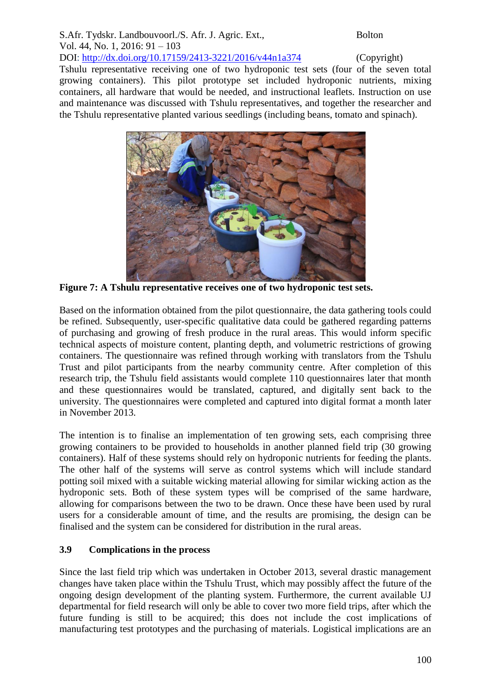# S.Afr. Tydskr. Landbouvoorl./S. Afr. J. Agric. Ext., Bolton Vol. 44, No. 1, 2016: 91 – 103

DOI: http://dx.doi.org/10.17159/2413-3221/2016/v44n1a374 (Copyright)

Tshulu representative receiving one of two hydroponic test sets (four of the seven total growing containers). This pilot prototype set included hydroponic nutrients, mixing containers, all hardware that would be needed, and instructional leaflets. Instruction on use and maintenance was discussed with Tshulu representatives, and together the researcher and the Tshulu representative planted various seedlings (including beans, tomato and spinach).



**Figure 7: A Tshulu representative receives one of two hydroponic test sets.**

Based on the information obtained from the pilot questionnaire, the data gathering tools could be refined. Subsequently, user-specific qualitative data could be gathered regarding patterns of purchasing and growing of fresh produce in the rural areas. This would inform specific technical aspects of moisture content, planting depth, and volumetric restrictions of growing containers. The questionnaire was refined through working with translators from the Tshulu Trust and pilot participants from the nearby community centre. After completion of this research trip, the Tshulu field assistants would complete 110 questionnaires later that month and these questionnaires would be translated, captured, and digitally sent back to the university. The questionnaires were completed and captured into digital format a month later in November 2013.

The intention is to finalise an implementation of ten growing sets, each comprising three growing containers to be provided to households in another planned field trip (30 growing containers). Half of these systems should rely on hydroponic nutrients for feeding the plants. The other half of the systems will serve as control systems which will include standard potting soil mixed with a suitable wicking material allowing for similar wicking action as the hydroponic sets. Both of these system types will be comprised of the same hardware, allowing for comparisons between the two to be drawn. Once these have been used by rural users for a considerable amount of time, and the results are promising, the design can be finalised and the system can be considered for distribution in the rural areas.

# **3.9 Complications in the process**

Since the last field trip which was undertaken in October 2013, several drastic management changes have taken place within the Tshulu Trust, which may possibly affect the future of the ongoing design development of the planting system. Furthermore, the current available UJ departmental for field research will only be able to cover two more field trips, after which the future funding is still to be acquired; this does not include the cost implications of manufacturing test prototypes and the purchasing of materials. Logistical implications are an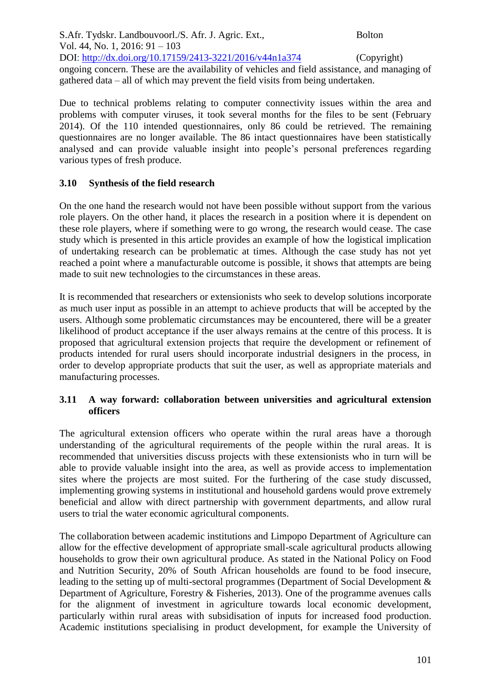S.Afr. Tydskr. Landbouvoorl./S. Afr. J. Agric. Ext., Bolton Vol. 44, No. 1, 2016: 91 – 103 DOI: http://dx.doi.org/10.17159/2413-3221/2016/v44n1a374 (Copyright) ongoing concern. These are the availability of vehicles and field assistance, and managing of gathered data – all of which may prevent the field visits from being undertaken.

Due to technical problems relating to computer connectivity issues within the area and problems with computer viruses, it took several months for the files to be sent (February 2014). Of the 110 intended questionnaires, only 86 could be retrieved. The remaining questionnaires are no longer available. The 86 intact questionnaires have been statistically analysed and can provide valuable insight into people's personal preferences regarding various types of fresh produce.

# **3.10 Synthesis of the field research**

On the one hand the research would not have been possible without support from the various role players. On the other hand, it places the research in a position where it is dependent on these role players, where if something were to go wrong, the research would cease. The case study which is presented in this article provides an example of how the logistical implication of undertaking research can be problematic at times. Although the case study has not yet reached a point where a manufacturable outcome is possible, it shows that attempts are being made to suit new technologies to the circumstances in these areas.

It is recommended that researchers or extensionists who seek to develop solutions incorporate as much user input as possible in an attempt to achieve products that will be accepted by the users. Although some problematic circumstances may be encountered, there will be a greater likelihood of product acceptance if the user always remains at the centre of this process. It is proposed that agricultural extension projects that require the development or refinement of products intended for rural users should incorporate industrial designers in the process, in order to develop appropriate products that suit the user, as well as appropriate materials and manufacturing processes.

### **3.11 A way forward: collaboration between universities and agricultural extension officers**

The agricultural extension officers who operate within the rural areas have a thorough understanding of the agricultural requirements of the people within the rural areas. It is recommended that universities discuss projects with these extensionists who in turn will be able to provide valuable insight into the area, as well as provide access to implementation sites where the projects are most suited. For the furthering of the case study discussed, implementing growing systems in institutional and household gardens would prove extremely beneficial and allow with direct partnership with government departments, and allow rural users to trial the water economic agricultural components.

The collaboration between academic institutions and Limpopo Department of Agriculture can allow for the effective development of appropriate small-scale agricultural products allowing households to grow their own agricultural produce. As stated in the National Policy on Food and Nutrition Security, 20% of South African households are found to be food insecure, leading to the setting up of multi-sectoral programmes (Department of Social Development & Department of Agriculture, Forestry & Fisheries, 2013). One of the programme avenues calls for the alignment of investment in agriculture towards local economic development, particularly within rural areas with subsidisation of inputs for increased food production. Academic institutions specialising in product development, for example the University of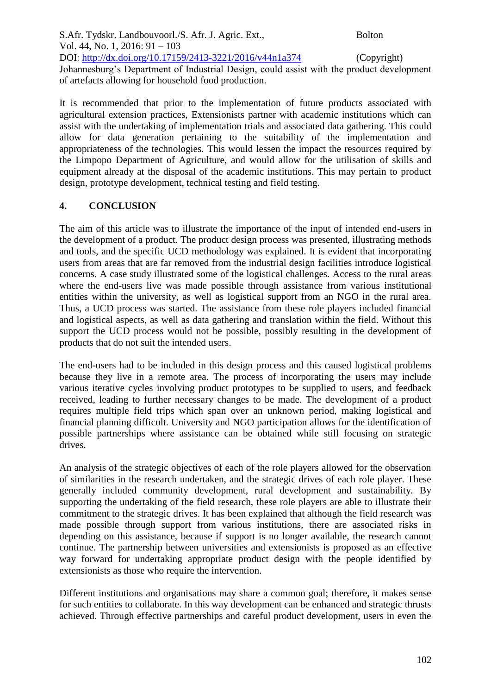S.Afr. Tydskr. Landbouvoorl./S. Afr. J. Agric. Ext., Bolton Vol. 44, No. 1, 2016: 91 – 103 DOI: http://dx.doi.org/10.17159/2413-3221/2016/v44n1a374 (Copyright) Johannesburg's Department of Industrial Design, could assist with the product development of artefacts allowing for household food production.

It is recommended that prior to the implementation of future products associated with agricultural extension practices, Extensionists partner with academic institutions which can assist with the undertaking of implementation trials and associated data gathering. This could allow for data generation pertaining to the suitability of the implementation and appropriateness of the technologies. This would lessen the impact the resources required by the Limpopo Department of Agriculture, and would allow for the utilisation of skills and equipment already at the disposal of the academic institutions. This may pertain to product design, prototype development, technical testing and field testing.

#### **4. CONCLUSION**

The aim of this article was to illustrate the importance of the input of intended end-users in the development of a product. The product design process was presented, illustrating methods and tools, and the specific UCD methodology was explained. It is evident that incorporating users from areas that are far removed from the industrial design facilities introduce logistical concerns. A case study illustrated some of the logistical challenges. Access to the rural areas where the end-users live was made possible through assistance from various institutional entities within the university, as well as logistical support from an NGO in the rural area. Thus, a UCD process was started. The assistance from these role players included financial and logistical aspects, as well as data gathering and translation within the field. Without this support the UCD process would not be possible, possibly resulting in the development of products that do not suit the intended users.

The end-users had to be included in this design process and this caused logistical problems because they live in a remote area. The process of incorporating the users may include various iterative cycles involving product prototypes to be supplied to users, and feedback received, leading to further necessary changes to be made. The development of a product requires multiple field trips which span over an unknown period, making logistical and financial planning difficult. University and NGO participation allows for the identification of possible partnerships where assistance can be obtained while still focusing on strategic drives.

An analysis of the strategic objectives of each of the role players allowed for the observation of similarities in the research undertaken, and the strategic drives of each role player. These generally included community development, rural development and sustainability. By supporting the undertaking of the field research, these role players are able to illustrate their commitment to the strategic drives. It has been explained that although the field research was made possible through support from various institutions, there are associated risks in depending on this assistance, because if support is no longer available, the research cannot continue. The partnership between universities and extensionists is proposed as an effective way forward for undertaking appropriate product design with the people identified by extensionists as those who require the intervention.

Different institutions and organisations may share a common goal; therefore, it makes sense for such entities to collaborate. In this way development can be enhanced and strategic thrusts achieved. Through effective partnerships and careful product development, users in even the